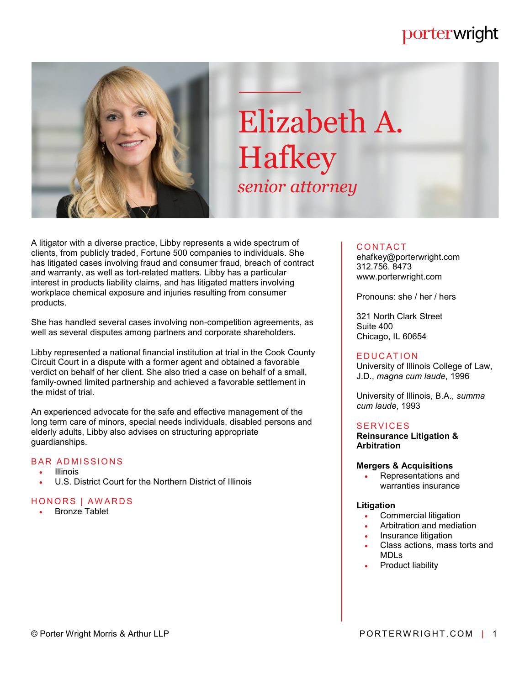# porterwright



# Elizabeth A. Hafkey *senior attorney*

A litigator with a diverse practice, Libby represents a wide spectrum of clients, from publicly traded, Fortune 500 companies to individuals. She has litigated cases involving fraud and consumer fraud, breach of contract and warranty, as well as tort-related matters. Libby has a particular interest in products liability claims, and has litigated matters involving workplace chemical exposure and injuries resulting from consumer products.

She has handled several cases involving non-competition agreements, as well as several disputes among partners and corporate shareholders.

Libby represented a national financial institution at trial in the Cook County Circuit Court in a dispute with a former agent and obtained a favorable verdict on behalf of her client. She also tried a case on behalf of a small, family-owned limited partnership and achieved a favorable settlement in the midst of trial.

An experienced advocate for the safe and effective management of the long term care of minors, special needs individuals, disabled persons and elderly adults, Libby also advises on structuring appropriate guardianships.

# **BAR ADMISSIONS**

- Illinois
- U.S. District Court for the Northern District of Illinois

# HONORS | AWARDS

Bronze Tablet

### **CONTACT**

ehafkey@porterwright.com 312.756. 8473 www.porterwright.com

Pronouns: she / her / hers

321 North Clark Street Suite 400 Chicago, IL 60654

#### **EDUCATION**

University of Illinois College of Law, J.D., *magna cum laude*, 1996

University of Illinois, B.A., *summa cum laude*, 1993

#### **SFRVICES**

**Reinsurance Litigation & Arbitration**

#### **Mergers & Acquisitions**

 Representations and warranties insurance

#### **Litigation**

- Commercial litigation
- Arbitration and mediation
- Insurance litigation
- Class actions, mass torts and MDLs
- Product liability